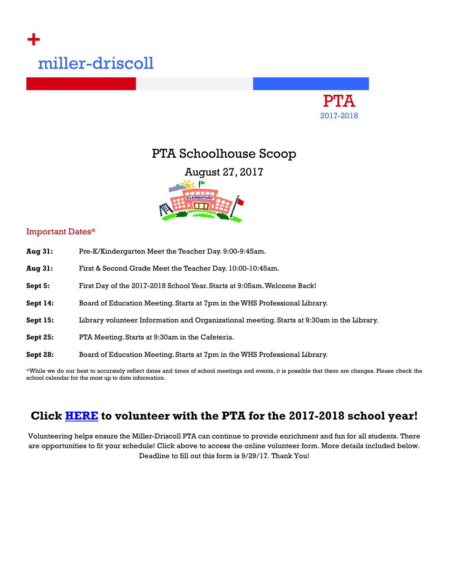# **+** miller-driscoll



## PTA Schoolhouse Scoop

August 27, 2017



#### Important Dates\*

| <b>Aug 31:</b>  | Pre-K/Kindergarten Meet the Teacher Day. 9:00-9:45am.                                      |
|-----------------|--------------------------------------------------------------------------------------------|
| <b>Aug 31:</b>  | First & Second Grade Meet the Teacher Day. 10:00-10:45am.                                  |
| Sept 5:         | First Day of the 2017-2018 School Year. Starts at 9:05am. Welcome Back!                    |
| Sept 14:        | Board of Education Meeting. Starts at 7pm in the WHS Professional Library.                 |
| Sept 15:        | Library volunteer Information and Organizational meeting. Starts at 9:30am in the Library. |
| <b>Sept 25:</b> | PTA Meeting. Starts at 9:30am in the Cafeteria.                                            |
| Sept 28:        | Board of Education Meeting. Starts at 7pm in the WHS Professional Library.                 |
|                 |                                                                                            |

\*While we do our best to accurately reflect dates and times of school meetings and events, it is possible that there are changes. Please check the school calendar for the most up to date information.

## **Click [HERE](https://docs.google.com/forms/d/e/1FAIpQLSds460HxvX_cdv3radgxKCrlgJLxAA5obXjKsFCnvGWp7gGNg/viewform?c=0&w=1) to volunteer with the PTA for the 2017-2018 school year!**

Volunteering helps ensure the Miller-Driscoll PTA can continue to provide enrichment and fun for all students. There are opportunities to fit your schedule! Click above to access the online volunteer form. More details included below. Deadline to fill out this form is 9/29/17. Thank You!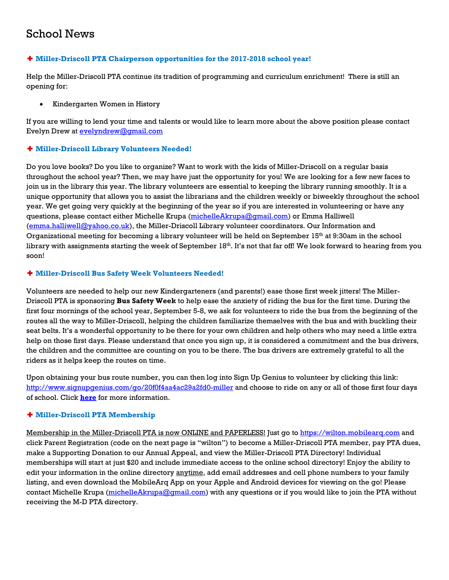## School News

#### ✚ **Miller-Driscoll PTA Chairperson opportunities for the 2017-2018 school year!**

Help the Miller-Driscoll PTA continue its tradition of programming and curriculum enrichment! There is still an opening for:

• Kindergarten Women in History

If you are willing to lend your time and talents or would like to learn more about the above position please contact Evelyn Drew at [evelyndrew@gmail.com](mailto:evelyndrew@gmail.com)

#### ✚ **Miller-Driscoll Library Volunteers Needed!**

Do you love books? Do you like to organize? Want to work with the kids of Miller-Driscoll on a regular basis throughout the school year? Then, we may have just the opportunity for you! We are looking for a few new faces to join us in the library this year. The library volunteers are essential to keeping the library running smoothly. It is a unique opportunity that allows you to assist the librarians and the children weekly or biweekly throughout the school year. We get going very quickly at the beginning of the year so if you are interested in volunteering or have any questions, please contact either Michelle Krupa [\(michelleAkrupa@gmail.com\)](mailto:michelleAkrupa@gmail.com) or Emma Halliwell [\(emma.halliwell@yahoo.co.uk\)](mailto:emma.halliwell@yahoo.co.uk), the Miller-Driscoll Library volunteer coordinators. Our Information and Organizational meeting for becoming a library volunteer will be held on September 15th at 9:30am in the school library with assignments starting the week of September 18<sup>th</sup>. It's not that far off! We look forward to hearing from you soon!

#### ✚ **Miller-Driscoll Bus Safety Week Volunteers Needed!**

Volunteers are needed to help our new Kindergarteners (and parents!) ease those first week jitters! The Miller-Driscoll PTA is sponsoring **Bus Safety Week** to help ease the anxiety of riding the bus for the first time. During the first four mornings of the school year, September 5-8, we ask for volunteers to ride the bus from the beginning of the routes all the way to Miller-Driscoll, helping the children familiarize themselves with the bus and with buckling their seat belts. It's a wonderful opportunity to be there for your own children and help others who may need a little extra help on those first days. Please understand that once you sign up, it is considered a commitment and the bus drivers, the children and the committee are counting on you to be there. The bus drivers are extremely grateful to all the riders as it helps keep the routes on time.

Upon obtaining your bus route number, you can then log into Sign Up Genius to volunteer by clicking this link: <http://www.signupgenius.com/go/20f0f4aa4ac29a2fd0-miller> and choose to ride on any or all of those first four days of school. Click **[here](https://msg.schoolmessenger.com/m/?s=EknLKTf0wgQ&mal=f0b27d2a777015157e4d20140dd92c82ebf6df9f1feebecac407da42ce262594)** for more information.

#### ✚ **Miller-Driscoll PTA Membership**

Membership in the Miller-Driscoll PTA is now ONLINE and PAPERLESS! Just go to [https://wilton.mobilearq.com](https://wilton.mobilearq.com/) and click Parent Registration (code on the next page is "wilton") to become a Miller-Driscoll PTA member, pay PTA dues, make a Supporting Donation to our Annual Appeal, and view the Miller-Driscoll PTA Directory! Individual memberships will start at just \$20 and include immediate access to the online school directory! Enjoy the ability to edit your information in the online directory anytime, add email addresses and cell phone numbers to your family listing, and even download the MobileArq App on your Apple and Android devices for viewing on the go! Please contact Michelle Krupa [\(michelleAkrupa@gmail.com\)](mailto:michelleAkrupa@gmail.com) with any questions or if you would like to join the PTA without receiving the M-D PTA directory.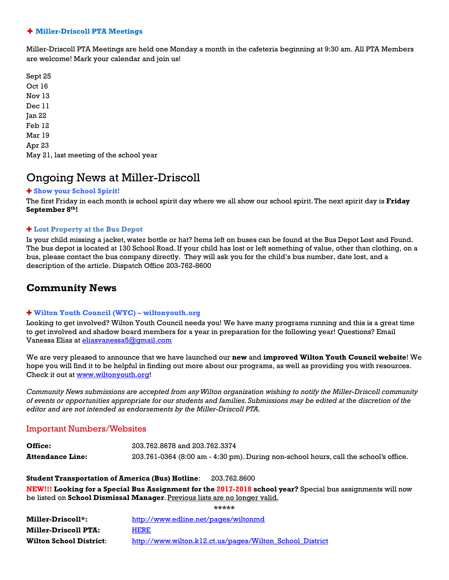#### ✚ **Miller-Driscoll PTA Meetings**

Miller-Driscoll PTA Meetings are held one Monday a month in the cafeteria beginning at 9:30 am. All PTA Members are welcome! Mark your calendar and join us!

Sept 25 Oct 16 Nov 13 Dec 11 Jan 22 Feb 12 Mar 19 Apr 23 May 21, last meeting of the school year

### Ongoing News at Miller-Driscoll

#### ✚ **Show your School Spirit!**

The first Friday in each month is school spirit day where we all show our school spirit. The next spirit day is **Friday September 8th!**

#### ✚ **Lost Property at the Bus Depot**

Is your child missing a jacket, water bottle or hat? Items left on buses can be found at the Bus Depot Lost and Found. The bus depot is located at 130 School Road. If your child has lost or left something of value, other than clothing, on a bus, please contact the bus company directly. They will ask you for the child's bus number, date lost, and a description of the article. Dispatch Office 203-762-8600

#### **Community News**

#### ✚ **Wilton Youth Council (WYC) – wiltonyouth.org**

Looking to get involved? Wilton Youth Council needs you! We have many programs running and this is a great time to get involved and shadow board members for a year in preparation for the following year! Questions? Email Vanessa Elias at [eliasvanessa5@gmail.com](mailto:eliasvanessa5@gmail.com)

We are very pleased to announce that we have launched our **new** and **improved Wilton Youth Council website**! We hope you will find it to be helpful in finding out more about our programs, as well as providing you with resources. Check it out a[t www.wiltonyouth.org!](http://www.wiltonyouth.org/)

*Community News submissions are accepted from any Wilton organization wishing to notify the Miller-Driscoll community of events or opportunities appropriate for our students and families. Submissions may be edited at the discretion of the editor and are not intended as endorsements by the Miller-Driscoll PTA.*

#### Important Numbers/Websites

| Office:                 | 203.762.8678 and 203.762.3374                                                        |
|-------------------------|--------------------------------------------------------------------------------------|
| <b>Attendance Line:</b> | 203.761-0364 (8:00 am - 4:30 pm). During non-school hours, call the school's office. |

**Student Transportation of America (Bus) Hotline**: 203.762.8600 **NEW!!! Looking for a Special Bus Assignment for the 2017-2018 school year?** Special bus assignments will now be listed on **School Dismissal Manager**. Previous lists are no longer valid.

**\*\*\*\*\***

| Miller-Driscoll*:              | http://www.edline.net/pages/wiltonmd                     |
|--------------------------------|----------------------------------------------------------|
| <b>Miller-Driscoll PTA:</b>    | <b>HERE</b>                                              |
| <b>Wilton School District:</b> | http://www.wilton.kl2.ct.us/pages/Wilton School District |